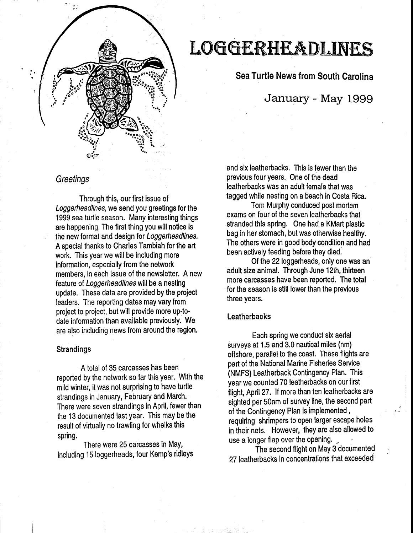

# L066ERH£Al)LJN£S

Sea Turtle News from South Carolina

# January - May 1999

# **Greetings**

Through this, our first issue of Loggerheadlines, we send you greetings for the 1999 sea turtle season. Many interesting things are happening. The first thing you will notice is the new format and design for Loggerheadlines. A special thanks to Charles Tambiah for the art work. This year we will be including more information, especially from the network members, in each issue of the newsletter. A new feature of Loggerheadlines will be a nesting update. These data are provided by the project leaders. The reporting dates may vary from project to project, but will provide more up-to· date information than available previously. We are also including news from around the region.

#### **Strandings**

A total of 35 carcasses has been reported by the network so far this year. With the mild winter, it was not surprising to have turtle strandings in January, February and March. There were seven strandings in April, fewer than the 13 documented last year. This may be the result of virtually no trawling for whelks this spring.

There were 25 carcasses in May, including 15 loggerheads, four Kemp's ridleys

and six leatherbacks. This is fewer than the previous four years. One of the dead leatherbacks was an adult female that was tagged while nesting on a beach in Costa Rica.

Tom Murphy conduced post mortem exams on four of the seven leatherbacks that stranded this spring. One had a KMart plastic bag in her stomach, but was otherwise healthy. The others were in good body condition and had been actively feeding before they died.'

Of the 22 loggerheads, only one was an adult size animal. Through June 12th, thirteen more carcasses have been reported. The total for the season is still lower than the previous three years.

#### **Leatherbacks**

Each spring we conduct six aerial surveys at 1.5 and 3.0 nautical miles {nm) offshore, parallel to the coast. These flights are part of the National Marine Fisheries Service {NMFS) Leatherback Contingency Plan. This year we counted 70 leatherbacks on our first flight, April 27. If more than ten leatherbacks are sighted per 50nm of survey line, the second part of the Contingency Plan is implemented , requiring shrimpers to open larger escape holes in their nets. However, they are also allowed to use a longer flap over the opening.

The second flight on May 3 documented 27 leatherbacks in concentrations that exceeded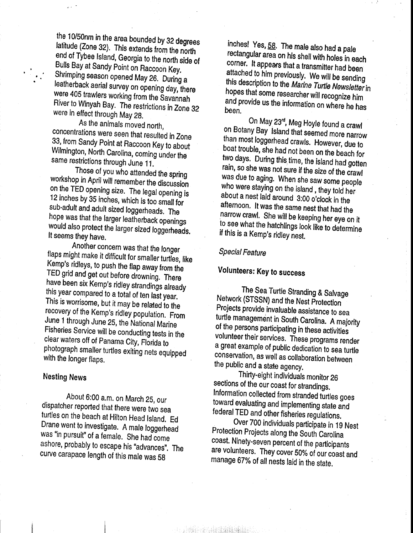the 10/50nm in the area bounded by 32 degrees latitude (Zone 32). This extends from the north end of Tybee Island, Georgia to the north side of Bulls Bay at Sandy Point on Raccoon Key. Shrimping season opened May 26. During a leatherback aerial survey on opening day, there were 405 trawlers working from the Savannah River to Winyah Bay. The restrictions in Zone 32 were in effect through May 28.

As the animals moved north, concentrations were seen that resulted in Zone 33, from Sandy Point at Raccoon Key to about Wilmington, North Carolina, coming under the same restrictions through June 11.

Those of you who attended the spring workshop in April will remember the discussion on the TED opening size. The legal opening is 12 inches by 35 inches, which is too small for sub-adult and adult sized loggerheads. The hope was that the larger leatherback openings would also protect the larger sized loggerheads. It seems they have.

Another concern was that the longer flaps might make it difficult for smaller turtles, like Kemp's ridleys, to push the flap away from the TED grid and get out before drowning. There have been six Kemp's ridley strandings already this year compared to a total of ten last year. This is worrisome, but it may be related to the recovery of the Kemp's ridley population. From June 1 through June 25, the National Marine Fisheries Service will be conducting tests in the clear waters off of Panama City, Florida to photograph smaller turtles exiting nets equipped with the longer flaps.

## Nesting News

About 6:00 a.m. on March 25, our dispatcher reported that there were two sea turtles on the beach at Hilton Head Island. Ed Drane went to investigate. A male loggerhead was "in pursuit" of a female. She had come ashore, probably to escape his "advances". The curve carapace length of this male was 58

inches! Yes, 58. The male also had a pale rectangular area on his shell with holes in each corner. It appears that a transmitter had been attached to him previously. We will be sending this description to the Marine Turtle Newsletter in hopes that some researcher will recognize him and provide us the information on where he has been.

On May 23rd, Meg Hoyle found a crawl on Botany Bay Island that seemed more narrow than most loggerhead crawls. However, due to boat trouble, she had not been on the beach for two days. During this time, the island had gotten rain, so she was not sure if the size of the crawl was due to aging. When she saw some people who were staying on the island , they told her about a nest laid around 3:00 o'clock in the afternoon. It was the same nest that had the narrow crawl. She will be keeping her eye on it to see what the hatchlings look like to determine if this is a Kemp's ridley nest.

## Special Feature

# Volunteers: Key to success

The Sea Turtle Stranding & Salvage Network (STSSN) and the Nest Protection Projects provide invaluable assistance to sea turtle management in South Carolina. A majority of the persons participating in these activities volunteer their services. These programs render a great example of public dedication to sea turtle conservation, as well as collaboration between the public and a state agency.

Thirty-eight individuals monitor 26 sections of the our coast for strandings. Information collected from stranded turtles goes toward evaluating and implementing state and federal TED and other fisheries regulations.

Over 700 individuals participate in 19 Nest Protection Projects along the South Carolina coast. Ninety-seven percent of the participants are volunteers. They cover 50% of our coast and manage 67% of all nests laid in the state.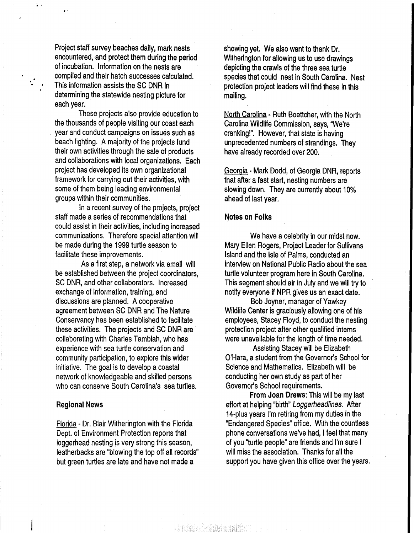Project staff survey beaches daily, mark nests encountered, and protect them during the period of incubation. Information on the nests are . compiled and their hatch successes calculated. This information assists the SC DNR in determining the statewide nesting picture for each year.

 $\frac{1}{\epsilon}$  .  $\epsilon$ 

These projects also provide education to the thousands of people visiting our coast each . year and conduct campaigns on issues such as beach lighting. A majority of the projects fund their own activities through the sale of products and collaborations with local organizations. Each project has developed its own organizational framework for carrying out their activities, with some of them being leading environmental groups within their communities.

In a recent survey of the projects, project staff made a series of recommendations that could assist in their activities, including increased communications. Therefore special attention will be made during the 1999 turtle season to facilitate these improvements.

As a first step, a network via email will be established between the project coordinators, SC DNR, and other collaborators. Increased exchange of information, training, and discussions are planned. A cooperative agreement between SC DNR and The Nature Conservancy has been established to facilitate these activities. The projects and SC DNR are collaborating with Charles Tambiah, who has experience with sea turtle conservation and community participation, to explore this wider initiative. The goal is to develop a coastal network of knowledgeable and skilled persons who can conserve South Carolina's sea turtles.

#### Regional News

Florida - Dr. Blair Witherington with the Florida Dept. of Environment Protection reports that loggerhead nesting is very strong this season, leatherbacks are "blowing the top off all records" but green turtles are late and have not made a

showing yet. We also want to thank Dr. Witherington for allowing us to use drawings depicting the crawls of the three sea turtle species that could nest in South Carolina. Nest protection project leaders will find these in this mailing.

North Carolina - Ruth Boettcher, with the North Carolina Wildlife Commission, says, 'We're cranking!". However, that state is having unprecedented numbers of strandings. They have already recorded over 200.

Georgia- Mark Dodd, of Georgia DNR, reports that after a fast start, nesting numbers are slowing down. They are currently about 10% ahead of last year.

#### Notes on Folks

We have a celebrity in our midst now. Mary Ellen Rogers, Project Leader for Sullivans Island and the Isle of Palms, conducted an interview on National Public Radio about the sea turtle volunteer program here in South Carolina. This segment should air in July and we will try to notify everyone if NPR gives us an exact date.

Bob Joyner, manager of Yawkey Wildlife Center is graciously allowing one of his employees, Stacey Floyd, to conduct the nesting protection project after other qualified interns were unavailable for the length of time needed.

Assisting Stacey will be Elizabeth O'Hara, a student from the Governor's School for Science and Mathematics. Elizabeth will be conducting her own study as part of her Governor's School requirements.

From Joan Drews: This will be my last effort at helping "birth" Loggerheadlines. After 14-plus years I'm retiring from my duties in the "Endangered Species" office. With the countless phone conversations we've had, I feel that many of you "turtle people" are friends and I'm sure I will miss the association. Thanks for all the support you have given this office over the years.